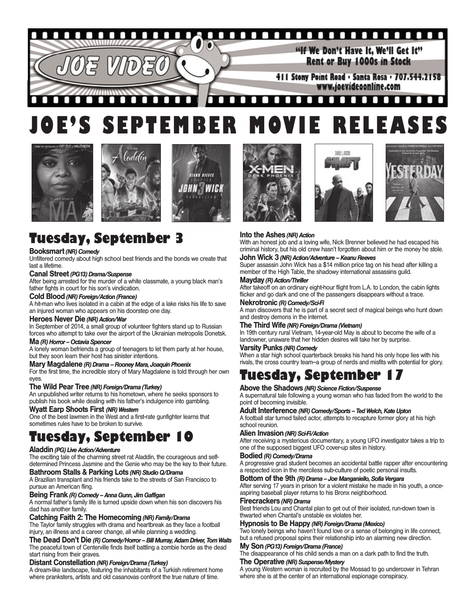

# **JOE'S SEPTEMBER MOVIE RELEASES**







# **Tuesday, September 3**

#### **Booksmart***(NR) Comedy*

Unfiltered comedy about high school best friends and the bonds we create that last a lifetime.

#### **Canal Street** *(PG13) Drama/Suspense*

After being arrested for the murder of a white classmate, a young black man's father fights in court for his son's vindication.

#### **Cold Blood** *(NR) Foreign/Action (France)*

A hit-man who lives isolated in a cabin at the edge of a lake risks his life to save an injured woman who appears on his doorstep one day.

#### **Heroes Never Die** *(NR) Action/War*

In September of 2014, a small group of volunteer fighters stand up to Russian forces who attempt to take over the airport of the Ukrainian metropolis Donetsk.

#### **Ma** *(R) Horror – Octavia Spencer*

A lonely woman befriends a group of teenagers to let them party at her house, but they soon learn their host has sinister intentions.

#### **Mary Magdalene** *(R) Drama – Rooney Mara, Joaquin Phoenix*

For the first time, the incredible story of Mary Magdalene is told through her own eyes.

#### **The Wild Pear Tree** *(NR) Foreign/Drama (Turkey)*

An unpublished writer returns to his hometown, where he seeks sponsors to publish his book while dealing with his father's indulgence into gambling.

**Wyatt Earp Shoots First** *(NR) Western*

One of the best lawmen in the West and a first-rate gunfighter learns that sometimes rules have to be broken to survive.

## **Tuesday, September 10**

#### **Aladdin** *(PG) Live Action/Adventure*

The exciting tale of the charming street rat Aladdin, the courageous and selfdetermined Princess Jasmine and the Genie who may be the key to their future. **Bathroom Stalls & Parking Lots** *(NR) Studio Q/Drama*

A Brazilian transplant and his friends take to the streets of San Francisco to pursue an American fling.

#### **Being Frank** *(R) Comedy – Anna Gunn, Jim Gaffigan*

A normal father's family life is turned upside down when his son discovers his dad has another family.

#### **Catching Faith 2: The Homecoming** *(NR) Family/Drama*

The Taylor family struggles with drama and heartbreak as they face a football injury, an illness and a career change, all while planning a wedding.

**The Dead Don't Die** *(R) Comedy/Horror – Bill Murray, Adam Driver, Tom Waits* The peaceful town of Centerville finds itself battling a zombie horde as the dead start rising from their graves.

#### **Distant Constellation** *(NR) Foreign/Drama (Turkey)*

A dream-like landscape, featuring the inhabitants of a Turkish retirement home where pranksters, artists and old casanovas confront the true nature of time.







#### **Into the Ashes** *(NR) Action*

With an honest job and a loving wife, Nick Brenner believed he had escaped his criminal history, but his old crew hasn't forgotten about him or the money he stole.

#### **John Wick 3** *(NR) Action/Adventure – Keanu Reeves*

Super assassin John Wick has a \$14 million price tag on his head after killing a member of the High Table, the shadowy international assassins guild.

#### **Mayday** *(R) Action/Thriller*

After takeoff on an ordinary eight-hour flight from L.A. to London, the cabin lights flicker and go dark and one of the passengers disappears without a trace.

**Nekrotronic** *(R) Comedy/Sci-Fi* A man discovers that he is part of a secret sect of magical beings who hunt down and destroy demons in the internet.

#### **The Third Wife** *(NR) Foreign/Drama (Vietnam)*

In 19th century rural Vietnam, 14-year-old May is about to become the wife of a landowner, unaware that her hidden desires will take her by surprise.

#### **Varsity Punks** *(NR) Comedy*

When a star high school quarterback breaks his hand his only hope lies with his rivals, the cross country team--a group of nerds and misfits with potential for glory.

# **Tuesday, September 17**

#### **Above the Shadows** *(NR) Science Fiction/Suspense*

A supernatural tale following a young woman who has faded from the world to the point of becoming invisible.

#### **Adult Interference** *(NR) Comedy/Sports – Ted Welch, Kate Upton*

A football star turned failed actor, attempts to recapture former glory at his high school reunion.

#### **Alien Invasion** *(NR) Sci-Fi/Action*

After receiving a mysterious documentary, a young UFO investigator takes a trip to one of the supposed biggest UFO cover-up sites in history.

#### **Bodied** *(R) Comedy/Drama*

A progressive grad student becomes an accidental battle rapper after encountering a respected icon in the merciless sub-culture of poetic personal insults.

#### **Bottom of the 9th** *(R) Drama – Joe Manganiello, Sofia Vergara*

After serving 17 years in prison for a violent mistake he made in his youth, a onceaspiring baseball player returns to his Bronx neighborhood.

#### **Firecrackers** *(NR) Drama*

Best friends Lou and Chantal plan to get out of their isolated, run-down town is thwarted when Chantal's unstable ex violates her.

#### **Hypnosis to Be Happy** *(NR) Foreign/Drama (Mexico)*

Two lonely beings who haven't found love or a sense of belonging in life connect, but a refused proposal spins their relationship into an alarming new direction.

#### **My Son** *(PG13) Foreign/Drama (France)*

The disappearance of his child sends a man on a dark path to find the truth.

#### **The Operative** *(NR) Suspense/Mystery*

A young Western woman is recruited by the Mossad to go undercover in Tehran where she is at the center of an international espionage conspiracy.